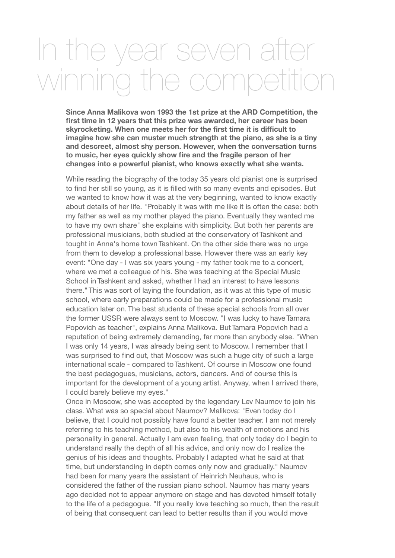## In the year seven after winning the competition

**Since Anna Malikova won 1993 the 1st prize at the ARD Competition, the first time in 12 years that this prize was awarded, her career has been skyrocketing. When one meets her for the first time it is difficult to imagine how she can muster much strength at the piano, as she is a tiny and descreet, almost shy person. However, when the conversation turns to music, her eyes quickly show fire and the fragile person of her changes into a powerful pianist, who knows exactly what she wants.**

While reading the biography of the today 35 years old pianist one is surprised to find her still so young, as it is filled with so many events and episodes. But we wanted to know how it was at the very beginning, wanted to know exactly about details of her life. "Probably it was with me like it is often the case: both my father as well as my mother played the piano. Eventually they wanted me to have my own share" she explains with simplicity. But both her parents are professional musicians, both studied at the conservatory of Tashkent and tought in Anna's home town Tashkent. On the other side there was no urge from them to develop a professional base. However there was an early key event: "One day - I was six years young - my father took me to a concert, where we met a colleague of his. She was teaching at the Special Music School in Tashkent and asked, whether I had an interest to have lessons there." This was sort of laying the foundation, as it was at this type of music school, where early preparations could be made for a professional music education later on. The best students of these special schools from all over the former USSR were always sent to Moscow. "I was lucky to have Tamara Popovich as teacher", explains Anna Malikova. But Tamara Popovich had a reputation of being extremely demanding, far more than anybody else. "When I was only 14 years, I was already being sent to Moscow. I remember that I was surprised to find out, that Moscow was such a huge city of such a large international scale - compared to Tashkent. Of course in Moscow one found the best pedagogues, musicians, actors, dancers. And of course this is important for the development of a young artist. Anyway, when I arrived there, I could barely believe my eyes."

Once in Moscow, she was accepted by the legendary Lev Naumov to join his class. What was so special about Naumov? Malikova: "Even today do I believe, that I could not possibly have found a better teacher. I am not merely referring to his teaching method, but also to his wealth of emotions and his personality in general. Actually I am even feeling, that only today do I begin to understand really the depth of all his advice, and only now do I realize the genius of his ideas and thoughts. Probably I adapted what he said at that time, but understanding in depth comes only now and gradually." Naumov had been for many years the assistant of Heinrich Neuhaus, who is considered the father of the russian piano school. Naumov has many years ago decided not to appear anymore on stage and has devoted himself totally to the life of a pedagogue. "If you really love teaching so much, then the result of being that consequent can lead to better results than if you would move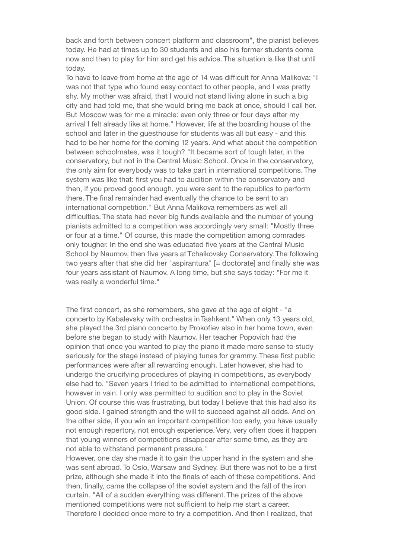back and forth between concert platform and classroom", the pianist believes today. He had at times up to 30 students and also his former students come now and then to play for him and get his advice. The situation is like that until today.

To have to leave from home at the age of 14 was difficult for Anna Malikova: "I was not that type who found easy contact to other people, and I was pretty shy. My mother was afraid, that I would not stand living alone in such a big city and had told me, that she would bring me back at once, should I call her. But Moscow was for me a miracle: even only three or four days after my arrival I felt already like at home." However, life at the boarding house of the school and later in the guesthouse for students was all but easy - and this had to be her home for the coming 12 years. And what about the competition between schoolmates, was it tough? "It became sort of tough later, in the conservatory, but not in the Central Music School. Once in the conservatory, the only aim for everybody was to take part in international competitions. The system was like that: first you had to audition within the conservatory and then, if you proved good enough, you were sent to the republics to perform there. The final remainder had eventually the chance to be sent to an international competition." But Anna Malikova remembers as well all difficulties. The state had never big funds available and the number of young pianists admitted to a competition was accordingly very small: "Mostly three or four at a time." Of course, this made the competition among comrades only tougher. In the end she was educated five years at the Central Music School by Naumov, then five years at Tchaikovsky Conservatory. The following two years after that she did her "aspirantura" [= doctorate] and finally she was four years assistant of Naumov. A long time, but she says today: "For me it was really a wonderful time."

The first concert, as she remembers, she gave at the age of eight - "a concerto by Kabalevsky with orchestra in Tashkent." When only 13 years old, she played the 3rd piano concerto by Prokofiev also in her home town, even before she began to study with Naumov. Her teacher Popovich had the opinion that once you wanted to play the piano it made more sense to study seriously for the stage instead of playing tunes for grammy. These first public performances were after all rewarding enough. Later however, she had to undergo the crucifying procedures of playing in competitions, as everybody else had to. "Seven years I tried to be admitted to international competitions, however in vain. I only was permitted to audition and to play in the Soviet Union. Of course this was frustrating, but today I believe that this had also its good side. I gained strength and the will to succeed against all odds. And on the other side, if you win an important competition too early, you have usually not enough repertory, not enough experience. Very, very often does it happen that young winners of competitions disappear after some time, as they are not able to withstand permanent pressure."

However, one day she made it to gain the upper hand in the system and she was sent abroad. To Oslo, Warsaw and Sydney. But there was not to be a first prize, although she made it into the finals of each of these competitions. And then, finally, came the collapse of the soviet system and the fall of the iron curtain. "All of a sudden everything was different. The prizes of the above mentioned competitions were not sufficient to help me start a career. Therefore I decided once more to try a competition. And then I realized, that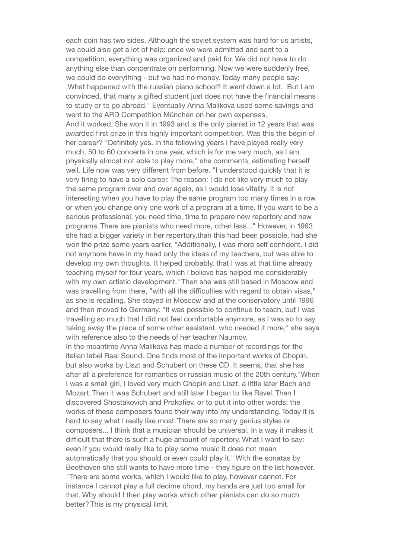each coin has two sides. Although the soviet system was hard for us artists, we could also get a lot of help: once we were admitted and sent to a competition, everything was organized and paid for. We did not have to do anything else than concentrate on performing. Now we were suddenly free, we could do everything - but we had no money. Today many people say: 'What happened with the russian piano school? It went down a lot.' But I am convinced, that many a gifted student just does not have the financial means to study or to go abroad." Eventually Anna Malikova used some savings and went to the ARD Competition München on her own expenses. And it worked. She won it in 1993 and is the only pianist in 12 years that was awarded first prize in this highly important competition. Was this the begin of her career? "Definitely yes. In the following years I have played really very much, 50 to 60 concerts in one year, which is for me very much, as I am physically almost not able to play more," she comments, estimating herself well. Life now was very different from before. "I understood quickly that it is very tiring to have a solo career. The reason: I do not like very much to play the same program over and over again, as I would lose vitality. It is not interesting when you have to play the same program too many times in a row or when you change only one work of a program at a time. If you want to be a serious professional, you need time, time to prepare new repertory and new programs. There are pianists who need more, other less..." However, in 1993 she had a bigger variety in her repertory,than this had been possible, had she won the prize some years earlier. "Additionally, I was more self confident. I did not anymore have in my head only the ideas of my teachers, but was able to develop my own thoughts. It helped probably, that I was at that time already teaching myself for four years, which I believe has helped me considerably with my own artistic development." Then she was still based in Moscow and was travelling from there, "with all the difficulties with regard to obtain visas," as she is recalling. She stayed in Moscow and at the conservatory until 1996 and then moved to Germany. "It was possible to continue to teach, but I was travelling so much that I did not feel comfortable anymore, as I was so to say taking away the place of some other assistant, who needed it more," she says with reference also to the needs of her teacher Naumov. In the meantime Anna Malikova has made a number of recordings for the

italian label Real Sound. One finds most of the important works of Chopin, but also works by Liszt and Schubert on these CD. It seems, that she has after all a preference for romantics or russian music of the 20th century."When I was a small girl, I loved very much Chopin and Liszt, a little later Bach and Mozart. Then it was Schubert and still later I began to like Ravel. Then I discovered Shostakovich and Prokofiev, or to put it into other words: the works of these composers found their way into my understanding. Today it is hard to say what I really like most. There are so many genius styles or composers... I think that a musician should be universal. In a way it makes it difficult that there is such a huge amount of repertory. What I want to say: even if you would really like to play some music it does not mean automatically that you should or even could play it." With the sonatas by Beethoven she still wants to have more time - they figure on the list however. "There are some works, which I would like to play, however cannot. For instance I cannot play a full decime chord, my hands are just too small for that. Why should I then play works which other pianists can do so much better? This is my physical limit."